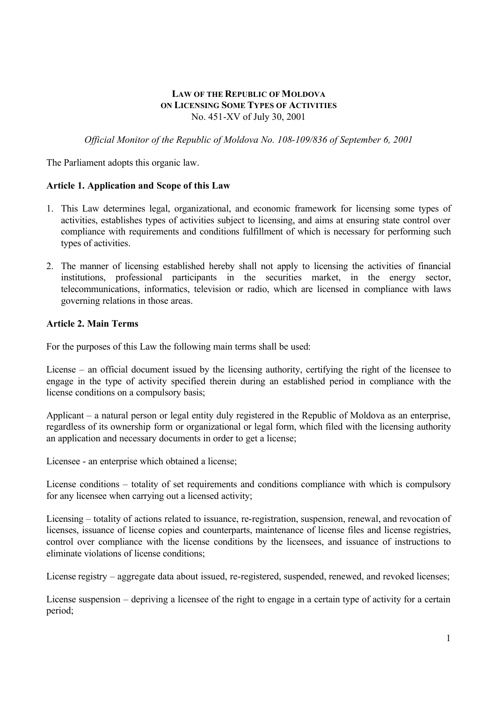### **LAW OF THE REPUBLIC OF MOLDOVA ON LICENSING SOME TYPES OF ACTIVITIES** No. 451-XV of July 30, 2001

*Official Monitor of the Republic of Moldova No. 108-109/836 of September 6, 2001*

The Parliament adopts this organic law.

# **Article 1. Application and Scope of this Law**

- 1. This Law determines legal, organizational, and economic framework for licensing some types of activities, establishes types of activities subject to licensing, and aims at ensuring state control over compliance with requirements and conditions fulfillment of which is necessary for performing such types of activities.
- 2. The manner of licensing established hereby shall not apply to licensing the activities of financial institutions, professional participants in the securities market, in the energy sector, telecommunications, informatics, television or radio, which are licensed in compliance with laws governing relations in those areas.

### **Article 2. Main Terms**

For the purposes of this Law the following main terms shall be used:

License – an official document issued by the licensing authority, certifying the right of the licensee to engage in the type of activity specified therein during an established period in compliance with the license conditions on a compulsory basis;

Applicant – a natural person or legal entity duly registered in the Republic of Moldova as an enterprise, regardless of its ownership form or organizational or legal form, which filed with the licensing authority an application and necessary documents in order to get a license;

Licensee - an enterprise which obtained a license;

License conditions – totality of set requirements and conditions compliance with which is compulsory for any licensee when carrying out a licensed activity;

Licensing – totality of actions related to issuance, re-registration, suspension, renewal, and revocation of licenses, issuance of license copies and counterparts, maintenance of license files and license registries, control over compliance with the license conditions by the licensees, and issuance of instructions to eliminate violations of license conditions;

License registry – aggregate data about issued, re-registered, suspended, renewed, and revoked licenses;

License suspension – depriving a licensee of the right to engage in a certain type of activity for a certain period;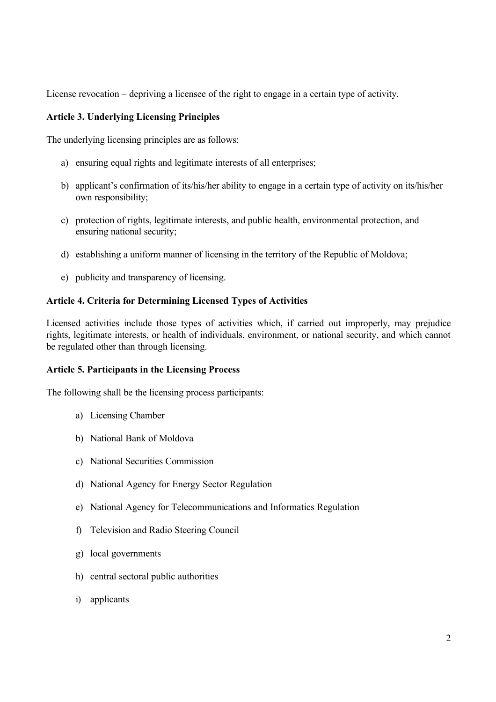License revocation – depriving a licensee of the right to engage in a certain type of activity.

### **Article 3. Underlying Licensing Principles**

The underlying licensing principles are as follows:

- a) ensuring equal rights and legitimate interests of all enterprises;
- b) applicant's confirmation of its/his/her ability to engage in a certain type of activity on its/his/her own responsibility;
- c) protection of rights, legitimate interests, and public health, environmental protection, and ensuring national security;
- d) establishing a uniform manner of licensing in the territory of the Republic of Moldova;
- e) publicity and transparency of licensing.

#### **Article 4. Criteria for Determining Licensed Types of Activities**

Licensed activities include those types of activities which, if carried out improperly, may prejudice rights, legitimate interests, or health of individuals, environment, or national security, and which cannot be regulated other than through licensing.

#### **Article 5. Participants in the Licensing Process**

The following shall be the licensing process participants:

- a) Licensing Chamber
- b) National Bank of Moldova
- c) National Securities Commission
- d) National Agency for Energy Sector Regulation
- e) National Agency for Telecommunications and Informatics Regulation
- f) Television and Radio Steering Council
- g) local governments
- h) central sectoral public authorities
- i) applicants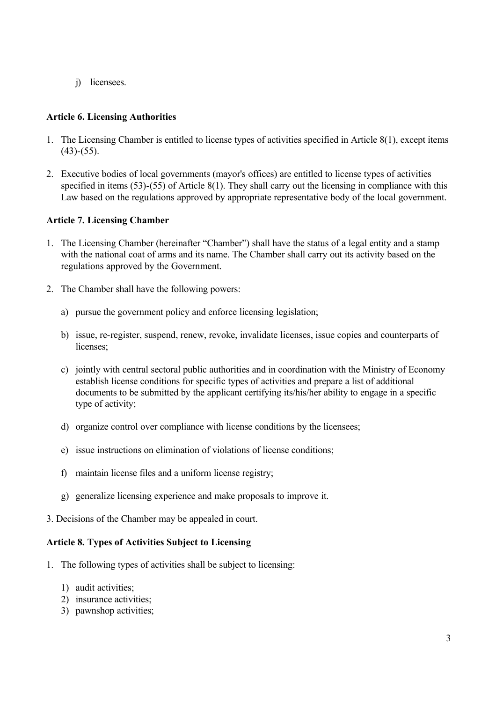j) licensees.

# **Article 6. Licensing Authorities**

- 1. The Licensing Chamber is entitled to license types of activities specified in Article 8(1), except items  $(43)-(55)$ .
- 2. Executive bodies of local governments (mayor's offices) are entitled to license types of activities specified in items (53)-(55) of Article 8(1). They shall carry out the licensing in compliance with this Law based on the regulations approved by appropriate representative body of the local government.

### **Article 7. Licensing Chamber**

- 1. The Licensing Chamber (hereinafter "Chamber") shall have the status of a legal entity and a stamp with the national coat of arms and its name. The Chamber shall carry out its activity based on the regulations approved by the Government.
- 2. The Chamber shall have the following powers:
	- a) pursue the government policy and enforce licensing legislation;
	- b) issue, re-register, suspend, renew, revoke, invalidate licenses, issue copies and counterparts of licenses:
	- c) jointly with central sectoral public authorities and in coordination with the Ministry of Economy establish license conditions for specific types of activities and prepare a list of additional documents to be submitted by the applicant certifying its/his/her ability to engage in a specific type of activity;
	- d) organize control over compliance with license conditions by the licensees;
	- e) issue instructions on elimination of violations of license conditions;
	- f) maintain license files and a uniform license registry;
	- g) generalize licensing experience and make proposals to improve it.
- 3. Decisions of the Chamber may be appealed in court.

#### **Article 8. Types of Activities Subject to Licensing**

- 1. The following types of activities shall be subject to licensing:
	- 1) audit activities;
	- 2) insurance activities;
	- 3) pawnshop activities;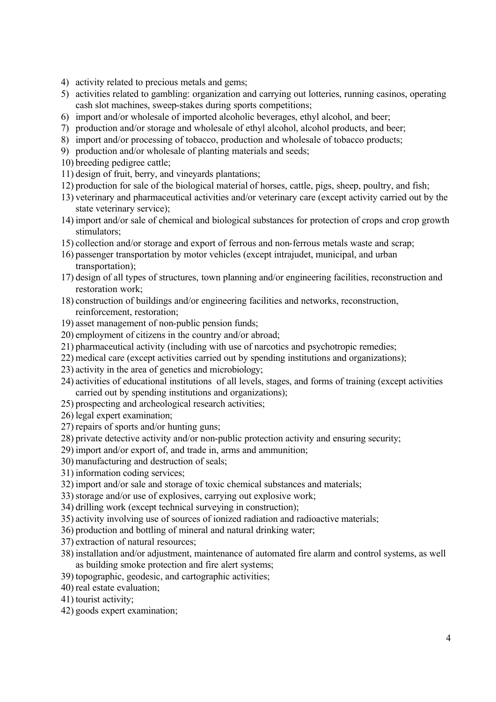- 4) activity related to precious metals and gems;
- 5) activities related to gambling: organization and carrying out lotteries, running casinos, operating cash slot machines, sweep-stakes during sports competitions;
- 6) import and/or wholesale of imported alcoholic beverages, ethyl alcohol, and beer;
- 7) production and/or storage and wholesale of ethyl alcohol, alcohol products, and beer;
- 8) import and/or processing of tobacco, production and wholesale of tobacco products;
- 9) production and/or wholesale of planting materials and seeds;
- 10) breeding pedigree cattle;
- 11) design of fruit, berry, and vineyards plantations;
- 12) production for sale of the biological material of horses, cattle, pigs, sheep, poultry, and fish;
- 13) veterinary and pharmaceutical activities and/or veterinary care (except activity carried out by the state veterinary service);
- 14) import and/or sale of chemical and biological substances for protection of crops and crop growth stimulators;
- 15) collection and/or storage and export of ferrous and non-ferrous metals waste and scrap;
- 16) passenger transportation by motor vehicles (except intrajudet, municipal, and urban transportation);
- 17) design of all types of structures, town planning and/or engineering facilities, reconstruction and restoration work;
- 18) construction of buildings and/or engineering facilities and networks, reconstruction, reinforcement, restoration;
- 19) asset management of non-public pension funds;
- 20) employment of citizens in the country and/or abroad;
- 21) pharmaceutical activity (including with use of narcotics and psychotropic remedies;
- 22) medical care (except activities carried out by spending institutions and organizations);
- 23) activity in the area of genetics and microbiology;
- 24) activities of educational institutions of all levels, stages, and forms of training (except activities carried out by spending institutions and organizations);
- 25) prospecting and archeological research activities;
- 26) legal expert examination;
- 27) repairs of sports and/or hunting guns;
- 28) private detective activity and/or non-public protection activity and ensuring security;
- 29) import and/or export of, and trade in, arms and ammunition;
- 30) manufacturing and destruction of seals;
- 31) information coding services;
- 32) import and/or sale and storage of toxic chemical substances and materials;
- 33) storage and/or use of explosives, carrying out explosive work;
- 34) drilling work (except technical surveying in construction);
- 35) activity involving use of sources of ionized radiation and radioactive materials;
- 36) production and bottling of mineral and natural drinking water;
- 37) extraction of natural resources;
- 38) installation and/or adjustment, maintenance of automated fire alarm and control systems, as well as building smoke protection and fire alert systems;
- 39) topographic, geodesic, and cartographic activities;
- 40) real estate evaluation;
- 41) tourist activity;
- 42) goods expert examination;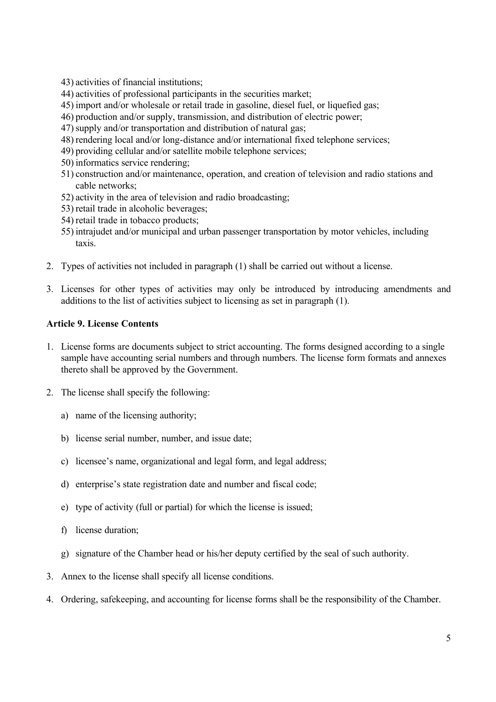- 43) activities of financial institutions;
- 44) activities of professional participants in the securities market;
- 45) import and/or wholesale or retail trade in gasoline, diesel fuel, or liquefied gas;
- 46) production and/or supply, transmission, and distribution of electric power;
- 47)supply and/or transportation and distribution of natural gas;
- 48) rendering local and/or long-distance and/or international fixed telephone services;
- 49) providing cellular and/or satellite mobile telephone services;
- 50) informatics service rendering;
- 51) construction and/or maintenance, operation, and creation of television and radio stations and cable networks;
- 52) activity in the area of television and radio broadcasting;
- 53) retail trade in alcoholic beverages;
- 54) retail trade in tobacco products;
- 55) intrajudet and/or municipal and urban passenger transportation by motor vehicles, including taxis.
- 2. Types of activities not included in paragraph (1) shall be carried out without a license.
- 3. Licenses for other types of activities may only be introduced by introducing amendments and additions to the list of activities subject to licensing as set in paragraph (1).

### **Article 9. License Contents**

- 1. License forms are documents subject to strict accounting. The forms designed according to a single sample have accounting serial numbers and through numbers. The license form formats and annexes thereto shall be approved by the Government.
- 2. The license shall specify the following:
	- a) name of the licensing authority;
	- b) license serial number, number, and issue date;
	- c) licensee's name, organizational and legal form, and legal address;
	- d) enterprise's state registration date and number and fiscal code;
	- e) type of activity (full or partial) for which the license is issued;
	- f) license duration;
	- g) signature of the Chamber head or his/her deputy certified by the seal of such authority.
- 3. Annex to the license shall specify all license conditions.
- 4. Ordering, safekeeping, and accounting for license forms shall be the responsibility of the Chamber.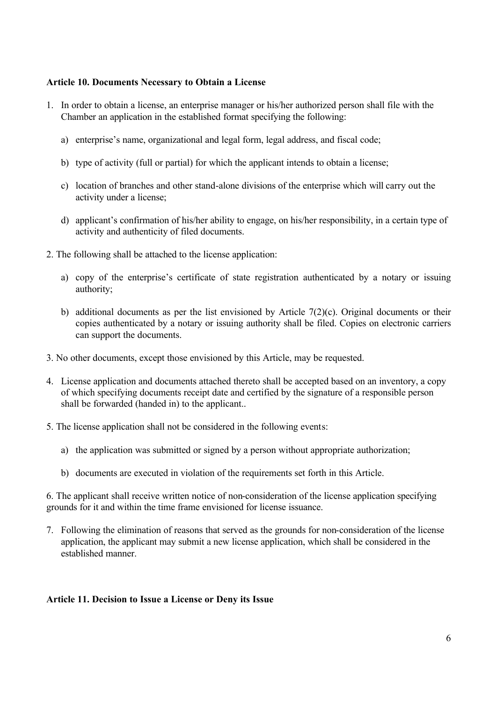## **Article 10. Documents Necessary to Obtain a License**

- 1. In order to obtain a license, an enterprise manager or his/her authorized person shall file with the Chamber an application in the established format specifying the following:
	- a) enterprise's name, organizational and legal form, legal address, and fiscal code;
	- b) type of activity (full or partial) for which the applicant intends to obtain a license;
	- c) location of branches and other stand-alone divisions of the enterprise which will carry out the activity under a license;
	- d) applicant's confirmation of his/her ability to engage, on his/her responsibility, in a certain type of activity and authenticity of filed documents.
- 2. The following shall be attached to the license application:
	- a) copy of the enterprise's certificate of state registration authenticated by a notary or issuing authority;
	- b) additional documents as per the list envisioned by Article 7(2)(c). Original documents or their copies authenticated by a notary or issuing authority shall be filed. Copies on electronic carriers can support the documents.
- 3. No other documents, except those envisioned by this Article, may be requested.
- 4. License application and documents attached thereto shall be accepted based on an inventory, a copy of which specifying documents receipt date and certified by the signature of a responsible person shall be forwarded (handed in) to the applicant..
- 5. The license application shall not be considered in the following events:
	- a) the application was submitted or signed by a person without appropriate authorization;
	- b) documents are executed in violation of the requirements set forth in this Article.

6. The applicant shall receive written notice of non-consideration of the license application specifying grounds for it and within the time frame envisioned for license issuance.

7. Following the elimination of reasons that served as the grounds for non-consideration of the license application, the applicant may submit a new license application, which shall be considered in the established manner.

#### **Article 11. Decision to Issue a License or Deny its Issue**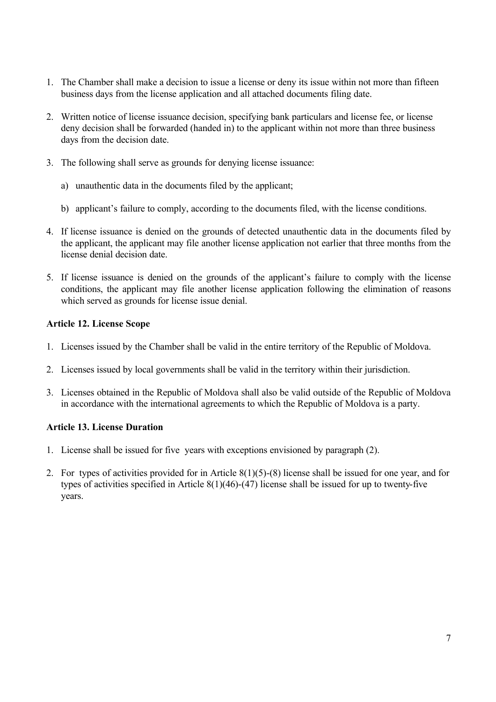- 1. The Chamber shall make a decision to issue a license or deny its issue within not more than fifteen business days from the license application and all attached documents filing date.
- 2. Written notice of license issuance decision, specifying bank particulars and license fee, or license deny decision shall be forwarded (handed in) to the applicant within not more than three business days from the decision date.
- 3. The following shall serve as grounds for denying license issuance:
	- a) unauthentic data in the documents filed by the applicant;
	- b) applicant's failure to comply, according to the documents filed, with the license conditions.
- 4. If license issuance is denied on the grounds of detected unauthentic data in the documents filed by the applicant, the applicant may file another license application not earlier that three months from the license denial decision date
- 5. If license issuance is denied on the grounds of the applicant's failure to comply with the license conditions, the applicant may file another license application following the elimination of reasons which served as grounds for license issue denial.

# **Article 12. License Scope**

- 1. Licenses issued by the Chamber shall be valid in the entire territory of the Republic of Moldova.
- 2. Licenses issued by local governments shall be valid in the territory within their jurisdiction.
- 3. Licenses obtained in the Republic of Moldova shall also be valid outside of the Republic of Moldova in accordance with the international agreements to which the Republic of Moldova is a party.

# **Article 13. License Duration**

- 1. License shall be issued for five years with exceptions envisioned by paragraph (2).
- 2. For types of activities provided for in Article 8(1)(5)-(8) license shall be issued for one year, and for types of activities specified in Article 8(1)(46)-(47) license shall be issued for up to twenty-five years.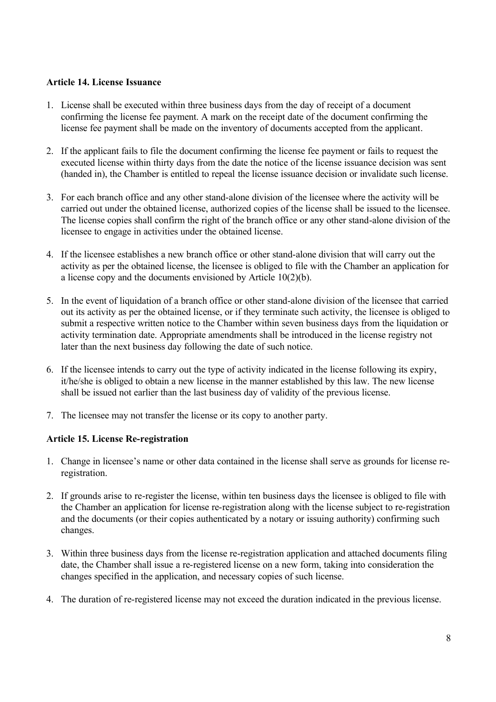## **Article 14. License Issuance**

- 1. License shall be executed within three business days from the day of receipt of a document confirming the license fee payment. A mark on the receipt date of the document confirming the license fee payment shall be made on the inventory of documents accepted from the applicant.
- 2. If the applicant fails to file the document confirming the license fee payment or fails to request the executed license within thirty days from the date the notice of the license issuance decision was sent (handed in), the Chamber is entitled to repeal the license issuance decision or invalidate such license.
- 3. For each branch office and any other stand-alone division of the licensee where the activity will be carried out under the obtained license, authorized copies of the license shall be issued to the licensee. The license copies shall confirm the right of the branch office or any other stand-alone division of the licensee to engage in activities under the obtained license.
- 4. If the licensee establishes a new branch office or other stand-alone division that will carry out the activity as per the obtained license, the licensee is obliged to file with the Chamber an application for a license copy and the documents envisioned by Article 10(2)(b).
- 5. In the event of liquidation of a branch office or other stand-alone division of the licensee that carried out its activity as per the obtained license, or if they terminate such activity, the licensee is obliged to submit a respective written notice to the Chamber within seven business days from the liquidation or activity termination date. Appropriate amendments shall be introduced in the license registry not later than the next business day following the date of such notice.
- 6. If the licensee intends to carry out the type of activity indicated in the license following its expiry, it/he/she is obliged to obtain a new license in the manner established by this law. The new license shall be issued not earlier than the last business day of validity of the previous license.
- 7. The licensee may not transfer the license or its copy to another party.

# **Article 15. License Re-registration**

- 1. Change in licensee's name or other data contained in the license shall serve as grounds for license reregistration.
- 2. If grounds arise to re-register the license, within ten business days the licensee is obliged to file with the Chamber an application for license re-registration along with the license subject to re-registration and the documents (or their copies authenticated by a notary or issuing authority) confirming such changes.
- 3. Within three business days from the license re-registration application and attached documents filing date, the Chamber shall issue a re-registered license on a new form, taking into consideration the changes specified in the application, and necessary copies of such license.
- 4. The duration of re-registered license may not exceed the duration indicated in the previous license.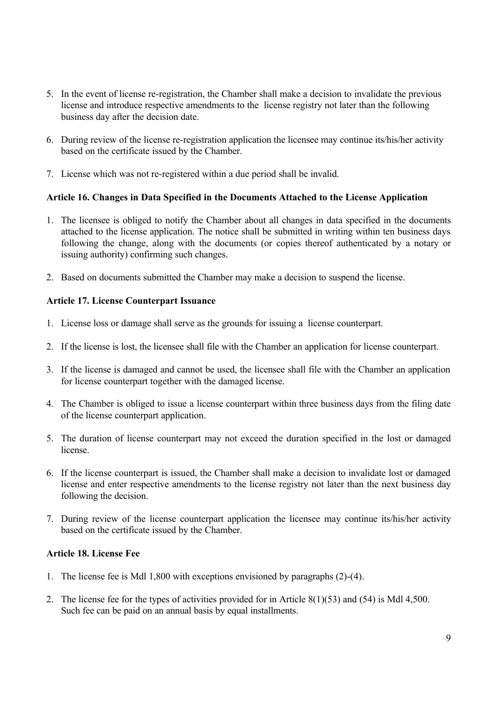- 5. In the event of license re-registration, the Chamber shall make a decision to invalidate the previous license and introduce respective amendments to the license registry not later than the following business day after the decision date.
- 6. During review of the license re-registration application the licensee may continue its/his/her activity based on the certificate issued by the Chamber.
- 7. License which was not re-registered within a due period shall be invalid.

### **Article 16. Changes in Data Specified in the Documents Attached to the License Application**

- 1. The licensee is obliged to notify the Chamber about all changes in data specified in the documents attached to the license application. The notice shall be submitted in writing within ten business days following the change, along with the documents (or copies thereof authenticated by a notary or issuing authority) confirming such changes.
- 2. Based on documents submitted the Chamber may make a decision to suspend the license.

### **Article 17. License Counterpart Issuance**

- 1. License loss or damage shall serve as the grounds for issuing a license counterpart.
- 2. If the license is lost, the licensee shall file with the Chamber an application for license counterpart.
- 3. If the license is damaged and cannot be used, the licensee shall file with the Chamber an application for license counterpart together with the damaged license.
- 4. The Chamber is obliged to issue a license counterpart within three business days from the filing date of the license counterpart application.
- 5. The duration of license counterpart may not exceed the duration specified in the lost or damaged license.
- 6. If the license counterpart is issued, the Chamber shall make a decision to invalidate lost or damaged license and enter respective amendments to the license registry not later than the next business day following the decision.
- 7. During review of the license counterpart application the licensee may continue its/his/her activity based on the certificate issued by the Chamber.

### **Article 18. License Fee**

- 1. The license fee is Mdl 1,800 with exceptions envisioned by paragraphs (2)-(4).
- 2. The license fee for the types of activities provided for in Article 8(1)(53) and (54) is Mdl 4,500. Such fee can be paid on an annual basis by equal installments.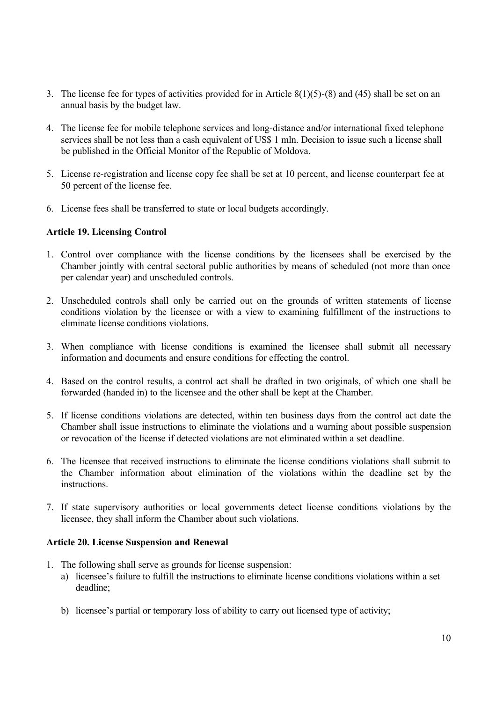- 3. The license fee for types of activities provided for in Article 8(1)(5)-(8) and (45) shall be set on an annual basis by the budget law.
- 4. The license fee for mobile telephone services and long-distance and/or international fixed telephone services shall be not less than a cash equivalent of US\$ 1 mln. Decision to issue such a license shall be published in the Official Monitor of the Republic of Moldova.
- 5. License re-registration and license copy fee shall be set at 10 percent, and license counterpart fee at 50 percent of the license fee.
- 6. License fees shall be transferred to state or local budgets accordingly.

### **Article 19. Licensing Control**

- 1. Control over compliance with the license conditions by the licensees shall be exercised by the Chamber jointly with central sectoral public authorities by means of scheduled (not more than once per calendar year) and unscheduled controls.
- 2. Unscheduled controls shall only be carried out on the grounds of written statements of license conditions violation by the licensee or with a view to examining fulfillment of the instructions to eliminate license conditions violations.
- 3. When compliance with license conditions is examined the licensee shall submit all necessary information and documents and ensure conditions for effecting the control.
- 4. Based on the control results, a control act shall be drafted in two originals, of which one shall be forwarded (handed in) to the licensee and the other shall be kept at the Chamber.
- 5. If license conditions violations are detected, within ten business days from the control act date the Chamber shall issue instructions to eliminate the violations and a warning about possible suspension or revocation of the license if detected violations are not eliminated within a set deadline.
- 6. The licensee that received instructions to eliminate the license conditions violations shall submit to the Chamber information about elimination of the violations within the deadline set by the instructions.
- 7. If state supervisory authorities or local governments detect license conditions violations by the licensee, they shall inform the Chamber about such violations.

#### **Article 20. License Suspension and Renewal**

- 1. The following shall serve as grounds for license suspension:
	- a) licensee's failure to fulfill the instructions to eliminate license conditions violations within a set deadline;
	- b) licensee's partial or temporary loss of ability to carry out licensed type of activity;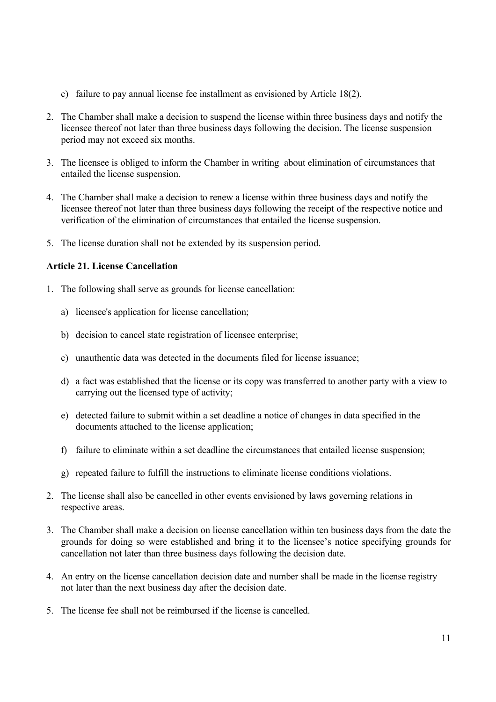- c) failure to pay annual license fee installment as envisioned by Article 18(2).
- 2. The Chamber shall make a decision to suspend the license within three business days and notify the licensee thereof not later than three business days following the decision. The license suspension period may not exceed six months.
- 3. The licensee is obliged to inform the Chamber in writing about elimination of circumstances that entailed the license suspension.
- 4. The Chamber shall make a decision to renew a license within three business days and notify the licensee thereof not later than three business days following the receipt of the respective notice and verification of the elimination of circumstances that entailed the license suspension.
- 5. The license duration shall not be extended by its suspension period.

### **Article 21. License Cancellation**

- 1. The following shall serve as grounds for license cancellation:
	- a) licensee's application for license cancellation;
	- b) decision to cancel state registration of licensee enterprise;
	- c) unauthentic data was detected in the documents filed for license issuance;
	- d) a fact was established that the license or its copy was transferred to another party with a view to carrying out the licensed type of activity;
	- e) detected failure to submit within a set deadline a notice of changes in data specified in the documents attached to the license application;
	- f) failure to eliminate within a set deadline the circumstances that entailed license suspension;
	- g) repeated failure to fulfill the instructions to eliminate license conditions violations.
- 2. The license shall also be cancelled in other events envisioned by laws governing relations in respective areas.
- 3. The Chamber shall make a decision on license cancellation within ten business days from the date the grounds for doing so were established and bring it to the licensee's notice specifying grounds for cancellation not later than three business days following the decision date.
- 4. An entry on the license cancellation decision date and number shall be made in the license registry not later than the next business day after the decision date.
- 5. The license fee shall not be reimbursed if the license is cancelled.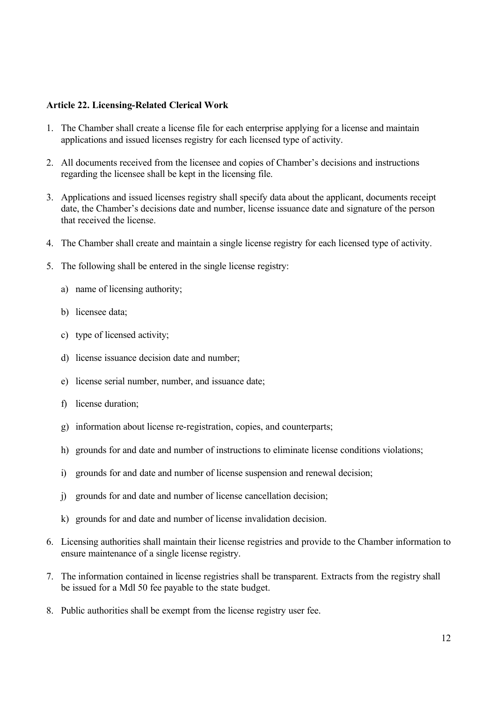### **Article 22. Licensing-Related Clerical Work**

- 1. The Chamber shall create a license file for each enterprise applying for a license and maintain applications and issued licenses registry for each licensed type of activity.
- 2. All documents received from the licensee and copies of Chamber's decisions and instructions regarding the licensee shall be kept in the licensing file.
- 3. Applications and issued licenses registry shall specify data about the applicant, documents receipt date, the Chamber's decisions date and number, license issuance date and signature of the person that received the license.
- 4. The Chamber shall create and maintain a single license registry for each licensed type of activity.
- 5. The following shall be entered in the single license registry:
	- a) name of licensing authority;
	- b) licensee data;
	- c) type of licensed activity;
	- d) license issuance decision date and number;
	- e) license serial number, number, and issuance date;
	- f) license duration;
	- g) information about license re-registration, copies, and counterparts;
	- h) grounds for and date and number of instructions to eliminate license conditions violations;
	- i) grounds for and date and number of license suspension and renewal decision;
	- j) grounds for and date and number of license cancellation decision;
	- k) grounds for and date and number of license invalidation decision.
- 6. Licensing authorities shall maintain their license registries and provide to the Chamber information to ensure maintenance of a single license registry.
- 7. The information contained in license registries shall be transparent. Extracts from the registry shall be issued for a Mdl 50 fee payable to the state budget.
- 8. Public authorities shall be exempt from the license registry user fee.